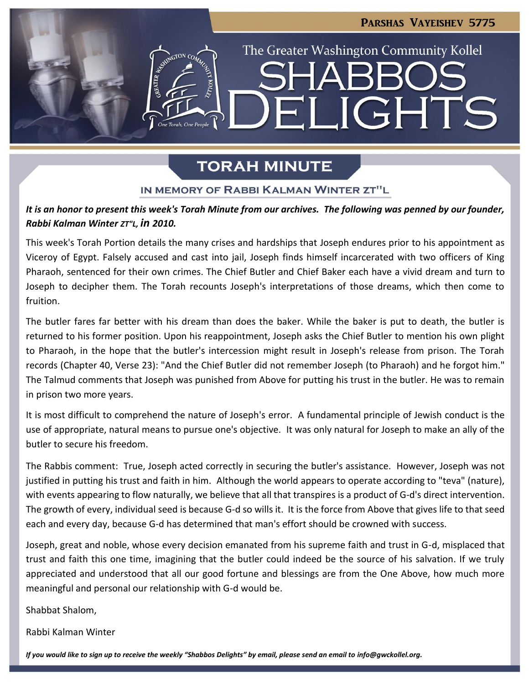# Parshas Vayeishev 5775

LIGHTS

The Greater Washington Community Kollel

# **TORAH MINUTE**

Hil

### IN MEMORY OF RABBI KALMAN WINTER ZT"L

### *It is an honor to present this week's Torah Minute from our archives. The following was penned by our founder, Rabbi Kalman Winter ZT"L, in 2010.*

This week's Torah Portion details the many crises and hardships that Joseph endures prior to his appointment as Viceroy of Egypt. Falsely accused and cast into jail, Joseph finds himself incarcerated with two officers of King Pharaoh, sentenced for their own crimes. The Chief Butler and Chief Baker each have a vivid dream and turn to Joseph to decipher them. The Torah recounts Joseph's interpretations of those dreams, which then come to fruition.

The butler fares far better with his dream than does the baker. While the baker is put to death, the butler is returned to his former position. Upon his reappointment, Joseph asks the Chief Butler to mention his own plight to Pharaoh, in the hope that the butler's intercession might result in Joseph's release from prison. The Torah records (Chapter 40, Verse 23): "And the Chief Butler did not remember Joseph (to Pharaoh) and he forgot him." The Talmud comments that Joseph was punished from Above for putting his trust in the butler. He was to remain in prison two more years.

It is most difficult to comprehend the nature of Joseph's error. A fundamental principle of Jewish conduct is the use of appropriate, natural means to pursue one's objective. It was only natural for Joseph to make an ally of the butler to secure his freedom.

The Rabbis comment: True, Joseph acted correctly in securing the butler's assistance. However, Joseph was not justified in putting his trust and faith in him. Although the world appears to operate according to "teva" (nature), with events appearing to flow naturally, we believe that all that transpires is a product of G-d's direct intervention. The growth of every, individual seed is because G-d so wills it. It is the force from Above that gives life to that seed each and every day, because G-d has determined that man's effort should be crowned with success.

Joseph, great and noble, whose every decision emanated from his supreme faith and trust in G-d, misplaced that trust and faith this one time, imagining that the butler could indeed be the source of his salvation. If we truly appreciated and understood that all our good fortune and blessings are from the One Above, how much more meaningful and personal our relationship with G-d would be.

Shabbat Shalom,

Rabbi Kalman Winter

If you would like to sign up to receive the weekly "Shabbos Delights" by email, please send an email to [info@gwckollel.org.](mailto:info@gwckollel.org)